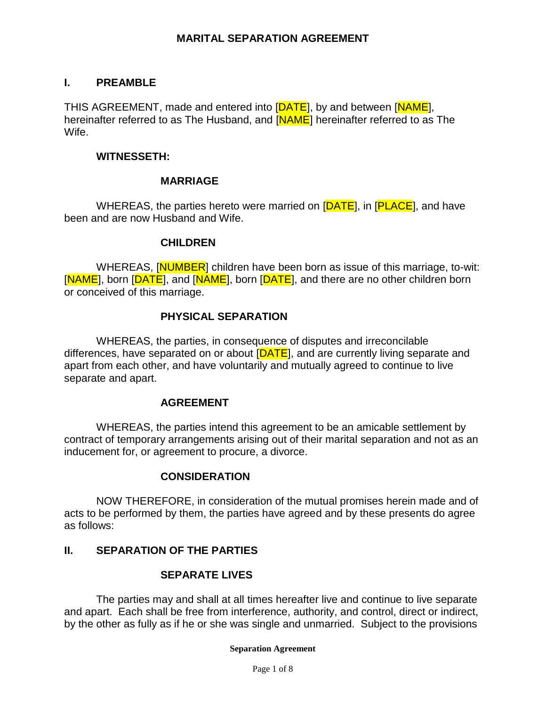### **I. PREAMBLE**

THIS AGREEMENT, made and entered into [DATE], by and between [NAME], hereinafter referred to as The Husband, and [NAME] hereinafter referred to as The Wife.

#### **WITNESSETH:**

#### **MARRIAGE**

WHEREAS, the parties hereto were married on [DATE], in [PLACE], and have been and are now Husband and Wife.

#### **CHILDREN**

WHEREAS, [NUMBER] children have been born as issue of this marriage, to-wit: [NAME], born [DATE], and [NAME], born [DATE], and there are no other children born or conceived of this marriage.

### **PHYSICAL SEPARATION**

WHEREAS, the parties, in consequence of disputes and irreconcilable differences, have separated on or about [DATE], and are currently living separate and apart from each other, and have voluntarily and mutually agreed to continue to live separate and apart.

#### **AGREEMENT**

WHEREAS, the parties intend this agreement to be an amicable settlement by contract of temporary arrangements arising out of their marital separation and not as an inducement for, or agreement to procure, a divorce.

#### **CONSIDERATION**

NOW THEREFORE, in consideration of the mutual promises herein made and of acts to be performed by them, the parties have agreed and by these presents do agree as follows:

## **II. SEPARATION OF THE PARTIES**

## **SEPARATE LIVES**

The parties may and shall at all times hereafter live and continue to live separate and apart. Each shall be free from interference, authority, and control, direct or indirect, by the other as fully as if he or she was single and unmarried. Subject to the provisions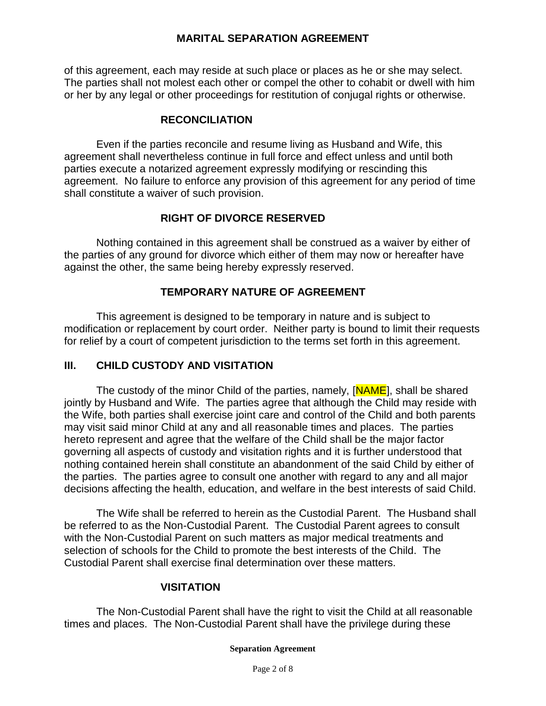of this agreement, each may reside at such place or places as he or she may select. The parties shall not molest each other or compel the other to cohabit or dwell with him or her by any legal or other proceedings for restitution of conjugal rights or otherwise.

### **RECONCILIATION**

Even if the parties reconcile and resume living as Husband and Wife, this agreement shall nevertheless continue in full force and effect unless and until both parties execute a notarized agreement expressly modifying or rescinding this agreement. No failure to enforce any provision of this agreement for any period of time shall constitute a waiver of such provision.

## **RIGHT OF DIVORCE RESERVED**

Nothing contained in this agreement shall be construed as a waiver by either of the parties of any ground for divorce which either of them may now or hereafter have against the other, the same being hereby expressly reserved.

## **TEMPORARY NATURE OF AGREEMENT**

This agreement is designed to be temporary in nature and is subject to modification or replacement by court order. Neither party is bound to limit their requests for relief by a court of competent jurisdiction to the terms set forth in this agreement.

### **III. CHILD CUSTODY AND VISITATION**

The custody of the minor Child of the parties, namely, [NAME], shall be shared jointly by Husband and Wife. The parties agree that although the Child may reside with the Wife, both parties shall exercise joint care and control of the Child and both parents may visit said minor Child at any and all reasonable times and places. The parties hereto represent and agree that the welfare of the Child shall be the major factor governing all aspects of custody and visitation rights and it is further understood that nothing contained herein shall constitute an abandonment of the said Child by either of the parties. The parties agree to consult one another with regard to any and all major decisions affecting the health, education, and welfare in the best interests of said Child.

The Wife shall be referred to herein as the Custodial Parent. The Husband shall be referred to as the Non-Custodial Parent. The Custodial Parent agrees to consult with the Non-Custodial Parent on such matters as major medical treatments and selection of schools for the Child to promote the best interests of the Child. The Custodial Parent shall exercise final determination over these matters.

### **VISITATION**

The Non-Custodial Parent shall have the right to visit the Child at all reasonable times and places. The Non-Custodial Parent shall have the privilege during these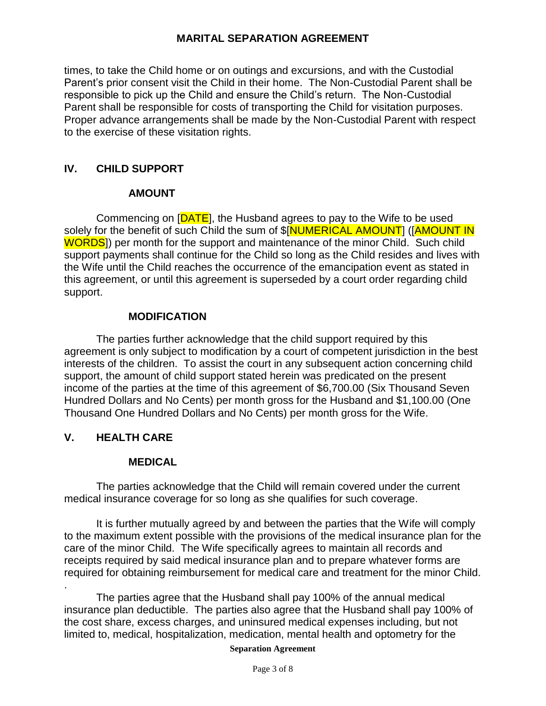times, to take the Child home or on outings and excursions, and with the Custodial Parent's prior consent visit the Child in their home. The Non-Custodial Parent shall be responsible to pick up the Child and ensure the Child's return. The Non-Custodial Parent shall be responsible for costs of transporting the Child for visitation purposes. Proper advance arrangements shall be made by the Non-Custodial Parent with respect to the exercise of these visitation rights.

## **IV. CHILD SUPPORT**

## **AMOUNT**

Commencing on [DATE], the Husband agrees to pay to the Wife to be used solely for the benefit of such Child the sum of \$[NUMERICAL AMOUNT] ([AMOUNT IN WORDS]) per month for the support and maintenance of the minor Child. Such child support payments shall continue for the Child so long as the Child resides and lives with the Wife until the Child reaches the occurrence of the emancipation event as stated in this agreement, or until this agreement is superseded by a court order regarding child support.

## **MODIFICATION**

The parties further acknowledge that the child support required by this agreement is only subject to modification by a court of competent jurisdiction in the best interests of the children. To assist the court in any subsequent action concerning child support, the amount of child support stated herein was predicated on the present income of the parties at the time of this agreement of \$6,700.00 (Six Thousand Seven Hundred Dollars and No Cents) per month gross for the Husband and \$1,100.00 (One Thousand One Hundred Dollars and No Cents) per month gross for the Wife.

## **V. HEALTH CARE**

## **MEDICAL**

The parties acknowledge that the Child will remain covered under the current medical insurance coverage for so long as she qualifies for such coverage.

It is further mutually agreed by and between the parties that the Wife will comply to the maximum extent possible with the provisions of the medical insurance plan for the care of the minor Child. The Wife specifically agrees to maintain all records and receipts required by said medical insurance plan and to prepare whatever forms are required for obtaining reimbursement for medical care and treatment for the minor Child.

. The parties agree that the Husband shall pay 100% of the annual medical insurance plan deductible. The parties also agree that the Husband shall pay 100% of the cost share, excess charges, and uninsured medical expenses including, but not limited to, medical, hospitalization, medication, mental health and optometry for the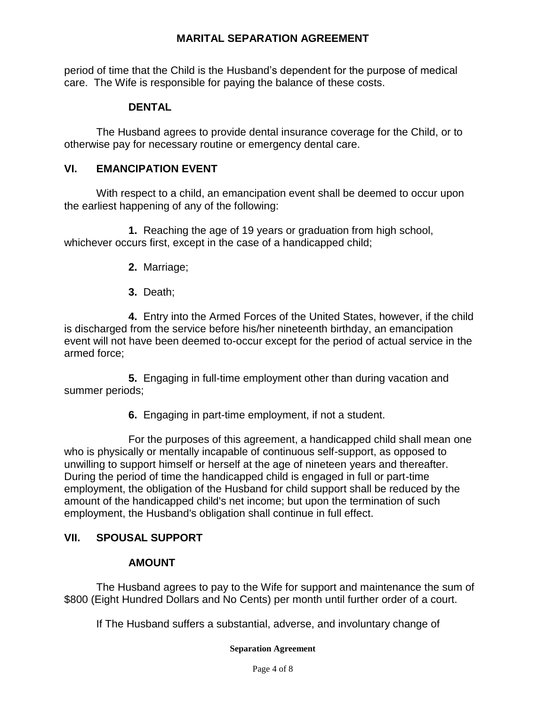period of time that the Child is the Husband's dependent for the purpose of medical care. The Wife is responsible for paying the balance of these costs.

## **DENTAL**

The Husband agrees to provide dental insurance coverage for the Child, or to otherwise pay for necessary routine or emergency dental care.

## **VI. EMANCIPATION EVENT**

With respect to a child, an emancipation event shall be deemed to occur upon the earliest happening of any of the following:

**1.** Reaching the age of 19 years or graduation from high school, whichever occurs first, except in the case of a handicapped child;

- **2.** Marriage;
- **3.** Death;

**4.** Entry into the Armed Forces of the United States, however, if the child is discharged from the service before his/her nineteenth birthday, an emancipation event will not have been deemed to-occur except for the period of actual service in the armed force;

**5.** Engaging in full-time employment other than during vacation and summer periods;

**6.** Engaging in part-time employment, if not a student.

For the purposes of this agreement, a handicapped child shall mean one who is physically or mentally incapable of continuous self-support, as opposed to unwilling to support himself or herself at the age of nineteen years and thereafter. During the period of time the handicapped child is engaged in full or part-time employment, the obligation of the Husband for child support shall be reduced by the amount of the handicapped child's net income; but upon the termination of such employment, the Husband's obligation shall continue in full effect.

## **VII. SPOUSAL SUPPORT**

## **AMOUNT**

The Husband agrees to pay to the Wife for support and maintenance the sum of \$800 (Eight Hundred Dollars and No Cents) per month until further order of a court.

If The Husband suffers a substantial, adverse, and involuntary change of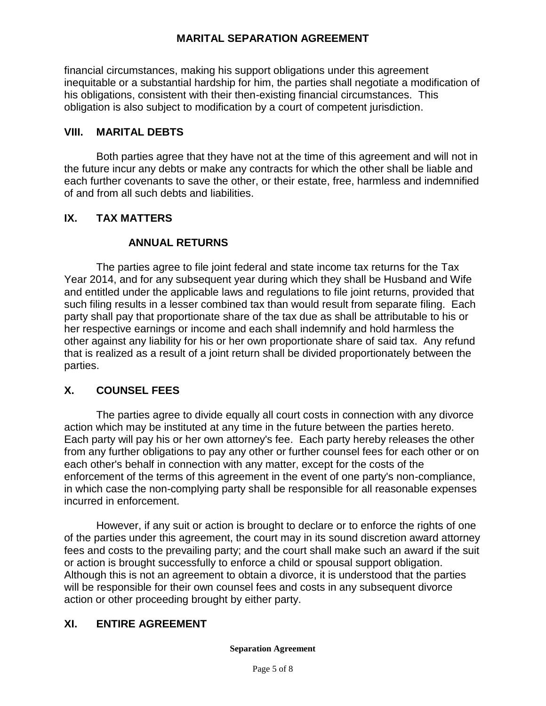financial circumstances, making his support obligations under this agreement inequitable or a substantial hardship for him, the parties shall negotiate a modification of his obligations, consistent with their then-existing financial circumstances. This obligation is also subject to modification by a court of competent jurisdiction.

## **VIII. MARITAL DEBTS**

Both parties agree that they have not at the time of this agreement and will not in the future incur any debts or make any contracts for which the other shall be liable and each further covenants to save the other, or their estate, free, harmless and indemnified of and from all such debts and liabilities.

## **IX. TAX MATTERS**

## **ANNUAL RETURNS**

The parties agree to file joint federal and state income tax returns for the Tax Year 2014, and for any subsequent year during which they shall be Husband and Wife and entitled under the applicable laws and regulations to file joint returns, provided that such filing results in a lesser combined tax than would result from separate filing. Each party shall pay that proportionate share of the tax due as shall be attributable to his or her respective earnings or income and each shall indemnify and hold harmless the other against any liability for his or her own proportionate share of said tax. Any refund that is realized as a result of a joint return shall be divided proportionately between the parties.

### **X. COUNSEL FEES**

The parties agree to divide equally all court costs in connection with any divorce action which may be instituted at any time in the future between the parties hereto. Each party will pay his or her own attorney's fee. Each party hereby releases the other from any further obligations to pay any other or further counsel fees for each other or on each other's behalf in connection with any matter, except for the costs of the enforcement of the terms of this agreement in the event of one party's non-compliance, in which case the non-complying party shall be responsible for all reasonable expenses incurred in enforcement.

However, if any suit or action is brought to declare or to enforce the rights of one of the parties under this agreement, the court may in its sound discretion award attorney fees and costs to the prevailing party; and the court shall make such an award if the suit or action is brought successfully to enforce a child or spousal support obligation. Although this is not an agreement to obtain a divorce, it is understood that the parties will be responsible for their own counsel fees and costs in any subsequent divorce action or other proceeding brought by either party.

## **XI. ENTIRE AGREEMENT**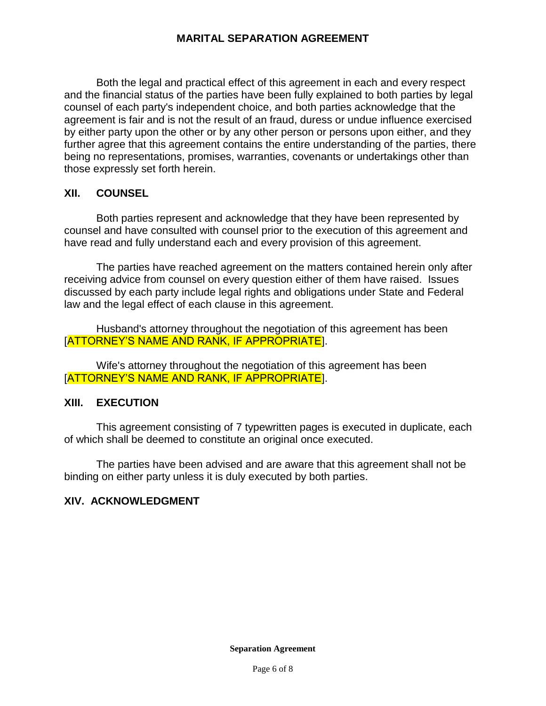Both the legal and practical effect of this agreement in each and every respect and the financial status of the parties have been fully explained to both parties by legal counsel of each party's independent choice, and both parties acknowledge that the agreement is fair and is not the result of an fraud, duress or undue influence exercised by either party upon the other or by any other person or persons upon either, and they further agree that this agreement contains the entire understanding of the parties, there being no representations, promises, warranties, covenants or undertakings other than those expressly set forth herein.

### **XII. COUNSEL**

Both parties represent and acknowledge that they have been represented by counsel and have consulted with counsel prior to the execution of this agreement and have read and fully understand each and every provision of this agreement.

The parties have reached agreement on the matters contained herein only after receiving advice from counsel on every question either of them have raised. Issues discussed by each party include legal rights and obligations under State and Federal law and the legal effect of each clause in this agreement.

Husband's attorney throughout the negotiation of this agreement has been [ATTORNEY'S NAME AND RANK, IF APPROPRIATE].

Wife's attorney throughout the negotiation of this agreement has been [ATTORNEY'S NAME AND RANK, IF APPROPRIATE].

### **XIII. EXECUTION**

This agreement consisting of 7 typewritten pages is executed in duplicate, each of which shall be deemed to constitute an original once executed.

The parties have been advised and are aware that this agreement shall not be binding on either party unless it is duly executed by both parties.

### **XIV. ACKNOWLEDGMENT**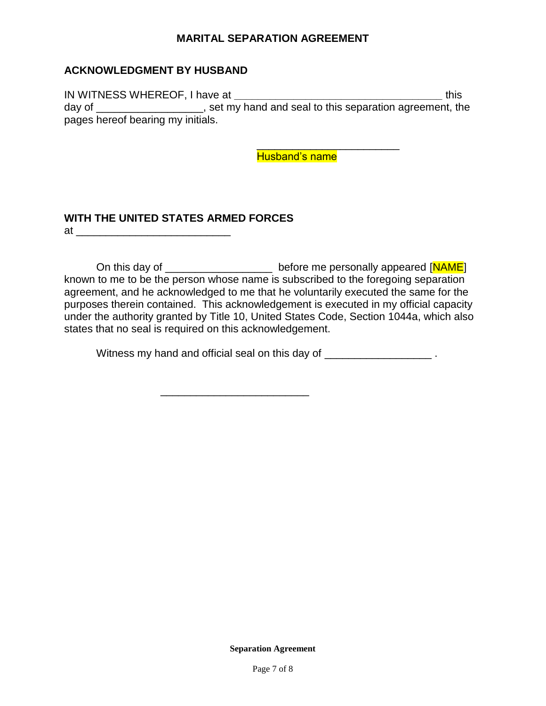### **ACKNOWLEDGMENT BY HUSBAND**

IN WITNESS WHEREOF, I have at **\_\_\_\_\_\_\_\_\_\_\_\_\_\_\_\_\_\_\_\_\_\_\_\_\_\_\_\_\_\_\_\_\_\_\_** this day of \_\_\_\_\_\_\_\_\_\_\_\_\_\_\_\_\_\_\_, set my hand and seal to this separation agreement, the pages hereof bearing my initials.

Husband's name

\_\_\_\_\_\_\_\_\_\_\_\_\_\_\_\_\_\_\_\_\_\_\_\_

#### **WITH THE UNITED STATES ARMED FORCES**  at \_\_\_\_\_\_\_\_\_\_\_\_\_\_\_\_\_\_\_\_\_\_\_\_\_\_

On this day of \_\_\_\_\_\_\_\_\_\_\_\_\_\_\_\_\_\_\_\_\_\_ before me personally appeared [NAME] known to me to be the person whose name is subscribed to the foregoing separation agreement, and he acknowledged to me that he voluntarily executed the same for the purposes therein contained. This acknowledgement is executed in my official capacity under the authority granted by Title 10, United States Code, Section 1044a, which also states that no seal is required on this acknowledgement.

Witness my hand and official seal on this day of  $\blacksquare$ 

\_\_\_\_\_\_\_\_\_\_\_\_\_\_\_\_\_\_\_\_\_\_\_\_\_